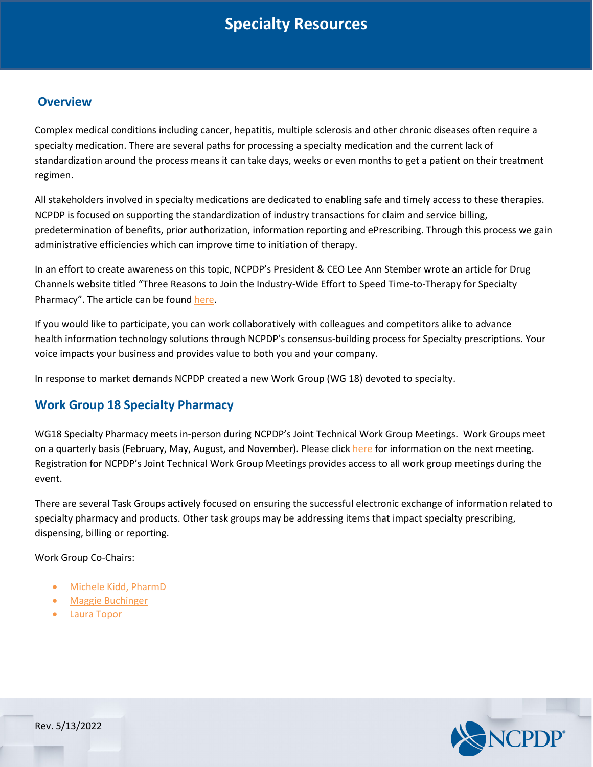# **Specialty Resources**

## **Overview**

Complex medical conditions including cancer, hepatitis, multiple sclerosis and other chronic diseases often require a specialty medication. There are several paths for processing a specialty medication and the current lack of standardization around the process means it can take days, weeks or even months to get a patient on their treatment regimen.

All stakeholders involved in specialty medications are dedicated to enabling safe and timely access to these therapies. NCPDP is focused on supporting the standardization of industry transactions for claim and service billing, predetermination of benefits, prior authorization, information reporting and ePrescribing. Through this process we gain administrative efficiencies which can improve time to initiation of therapy.

In an effort to create awareness on this topic, NCPDP's President & CEO Lee Ann Stember wrote an article for Drug Channels website titled "Three Reasons to Join the Industry-Wide Effort to Speed Time-to-Therapy for Specialty Pharmacy". The article can be found [here.](https://www.drugchannels.net/2018/12/three-reasons-to-join-industry-wide.html)

If you would like to participate, you can work collaboratively with colleagues and competitors alike to advance health information technology solutions through NCPDP's consensus-building process for Specialty prescriptions. Your voice impacts your business and provides value to both you and your company.

In response to market demands NCPDP created a new Work Group (WG 18) devoted to specialty.

## **Work Group 18 Specialty Pharmacy**

WG18 Specialty Pharmacy meets in-person during NCPDP's Joint Technical Work Group Meetings. Work Groups meet on a quarterly basis (February, May, August, and November). Please click [here](https://standards.ncpdp.org/Work-Groups.aspx) for information on the next meeting. Registration for NCPDP's Joint Technical Work Group Meetings provides access to all work group meetings during the event.

There are several Task Groups actively focused on ensuring the successful electronic exchange of information related to specialty pharmacy and products. Other task groups may be addressing items that impact specialty prescribing, dispensing, billing or reporting.

Work Group Co-Chairs:

- [Michele Kidd, PharmD](mailto:michele.kidd@accredohealth.com)
- [Maggie Buchinger](mailto:maggie.buchinger@surescripts.com)
- [Laura Topor](mailto:ltopormn@msn.com)



Rev. 5/13/2022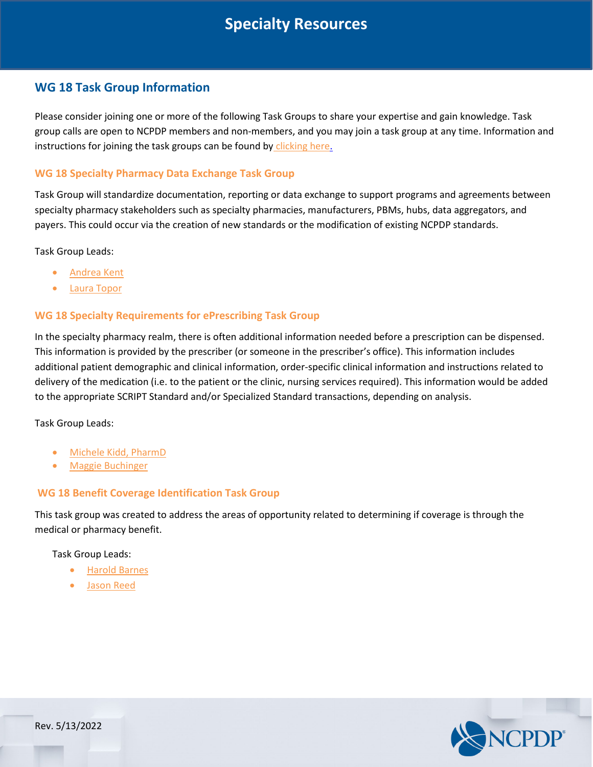# **Specialty Resources**

## **WG 18 Task Group Information**

Please consider joining one or more of the following Task Groups to share your expertise and gain knowledge. Task group calls are open to NCPDP members and non-members, and you may join a task group at any time. Information and instructions for joining the task groups can be found b[y](http://standards.ncpdp.org/Task-Groups) [clicking here](http://standards.ncpdp.org/Task-Groups.aspx)[.](http://standards.ncpdp.org/Task-Groups)

### **WG 18 Specialty Pharmacy Data Exchange Task Group**

Task Group will standardize documentation, reporting or data exchange to support programs and agreements between specialty pharmacy stakeholders such as specialty pharmacies, manufacturers, PBMs, hubs, data aggregators, and payers. This could occur via the creation of new standards or the modification of existing NCPDP standards.

Task Group Leads:

- [Andrea Kent](javascript:void(0)/*330*/)
- [Laura Topor](mailto:ltopormn@msn.com)

### **WG 18 Specialty Requirements for ePrescribing Task Group**

In the specialty pharmacy realm, there is often additional information needed before a prescription can be dispensed. This information is provided by the prescriber (or someone in the prescriber's office). This information includes additional patient demographic and clinical information, order-specific clinical information and instructions related to delivery of the medication (i.e. to the patient or the clinic, nursing services required). This information would be added to the appropriate SCRIPT Standard and/or Specialized Standard transactions, depending on analysis.

Task Group Leads:

- [Michele Kidd, PharmD](mailto:michele.kidd@accredohealth.com)
- [Maggie Buchinger](mailto:maggie.buchinger@surescripts.com)

### **WG 18 Benefit Coverage Identification Task Group**

This task group was created to address the areas of opportunity related to determining if coverage is through the medical or pharmacy benefit.

Task Group Leads:

- [Harold Barnes](mailto:hbarnes@shieldsrx.com)
- [Jason Reed](mailto:jasonr@centerx.com)